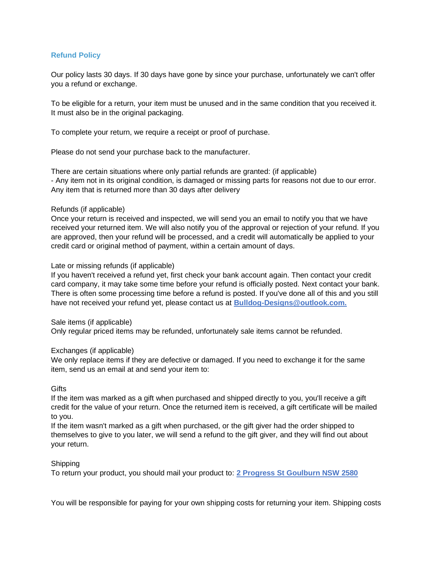# **Refund Policy**

Our policy lasts 30 days. If 30 days have gone by since your purchase, unfortunately we can't offer you a refund or exchange.

To be eligible for a return, your item must be unused and in the same condition that you received it. It must also be in the original packaging.

To complete your return, we require a receipt or proof of purchase.

Please do not send your purchase back to the manufacturer.

There are certain situations where only partial refunds are granted: (if applicable) - Any item not in its original condition, is damaged or missing parts for reasons not due to our error. Any item that is returned more than 30 days after delivery

## Refunds (if applicable)

Once your return is received and inspected, we will send you an email to notify you that we have received your returned item. We will also notify you of the approval or rejection of your refund. If you are approved, then your refund will be processed, and a credit will automatically be applied to your credit card or original method of payment, within a certain amount of days.

## Late or missing refunds (if applicable)

If you haven't received a refund yet, first check your bank account again. Then contact your credit card company, it may take some time before your refund is officially posted. Next contact your bank. There is often some processing time before a refund is posted. If you've done all of this and you still have not received your refund yet, please contact us at **Bulldog-Designs@outlook.com.**

#### Sale items (if applicable)

Only regular priced items may be refunded, unfortunately sale items cannot be refunded.

#### Exchanges (if applicable)

We only replace items if they are defective or damaged. If you need to exchange it for the same item, send us an email at and send your item to:

#### **Gifts**

If the item was marked as a gift when purchased and shipped directly to you, you'll receive a gift credit for the value of your return. Once the returned item is received, a gift certificate will be mailed to you.

If the item wasn't marked as a gift when purchased, or the gift giver had the order shipped to themselves to give to you later, we will send a refund to the gift giver, and they will find out about your return.

## Shipping

To return your product, you should mail your product to: **2 Progress St Goulburn NSW 2580**

You will be responsible for paying for your own shipping costs for returning your item. Shipping costs